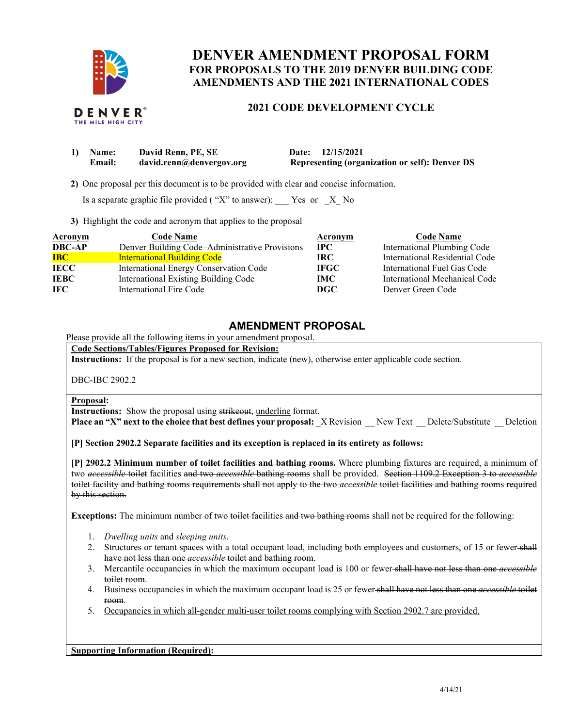

# **DENVER AMENDMENT PROPOSAL FORM AMENDMENTS AND THE 2021 INTERNATIONAL CODES FOR PROPOSALS TO THE 2019 DENVER BUILDING CODE**

# **2021 CODE DEVELOPMENT CYCLE**

| 1) | Name:  | David Renn, PE, SE       | Date: 12/15/2021                                      |
|----|--------|--------------------------|-------------------------------------------------------|
|    | Email: | david.renn@denvergov.org | <b>Representing (organization or self): Denver DS</b> |

**2)** One proposal per this document is to be provided with clear and concise information.

Is a separate graphic file provided ("X" to answer):  $\Gamma$  Yes or  $X$  No

**3)** Highlight the code and acronym that applies to the proposal

| <b>Acronym</b> | <b>Code Name</b>                               | Acronym     | <b>Code Name</b>               |
|----------------|------------------------------------------------|-------------|--------------------------------|
| <b>DBC-AP</b>  | Denver Building Code–Administrative Provisions | $\bf IPC$   | International Plumbing Code    |
| <b>IBC</b>     | <b>International Building Code</b>             | IRC.        | International Residential Code |
| <b>IECC</b>    | International Energy Conservation Code         | <b>IFGC</b> | International Fuel Gas Code    |
| <b>IEBC</b>    | International Existing Building Code           | IMC .       | International Mechanical Code  |
| - IFC          | International Fire Code                        | DGC.        | Denver Green Code              |

## **AMENDMENT PROPOSAL**

Please provide all the following items in your amendment proposal.

### **Code Sections/Tables/Figures Proposed for Revision:**

**Instructions:** If the proposal is for a new section, indicate (new), otherwise enter applicable code section.

DBC-IBC 2902.2

**Proposal:** 

**Instructions:** Show the proposal using strikeout, underline format.

**Place an "X" next to the choice that best defines your proposal: \_X Revision \_\_ New Text \_\_ Delete/Substitute \_\_ Deletion** 

 **[P] Section 2902.2 Separate facilities and its exception is replaced in its entirety as follows:** 

 **[P] 2902.2 Minimum number of toilet facilities and bathing rooms.** Where plumbing fixtures are required, a minimum of two *accessible* toilet facilities and two *accessible* bathing rooms shall be provided. Section 1109.2 Exception 3 to *accessible*  toilet facility and bathing rooms requirements shall not apply to the two *accessible* toilet facilities and bathing rooms required by this section.

**Exceptions:** The minimum number of two toilet facilities and two bathing rooms shall not be required for the following:

- 1. *Dwelling units* and *sleeping units*.
- 2. Structures or tenant spaces with a total occupant load, including both employees and customers, of 15 or fewer-shall have not less than one *accessible* toilet and bathing room.
- 3. Mercantile occupancies in which the maximum occupant load is 100 or fewer shall have not less than one *accessible*  toilet room.
- 4. Business occupancies in which the maximum occupant load is 25 or fewer shall have not less than one *accessible* toilet room.
- 5. Occupancies in which all-gender multi-user toilet rooms complying with Section 2902.7 are provided.

 **Supporting Information (Required):**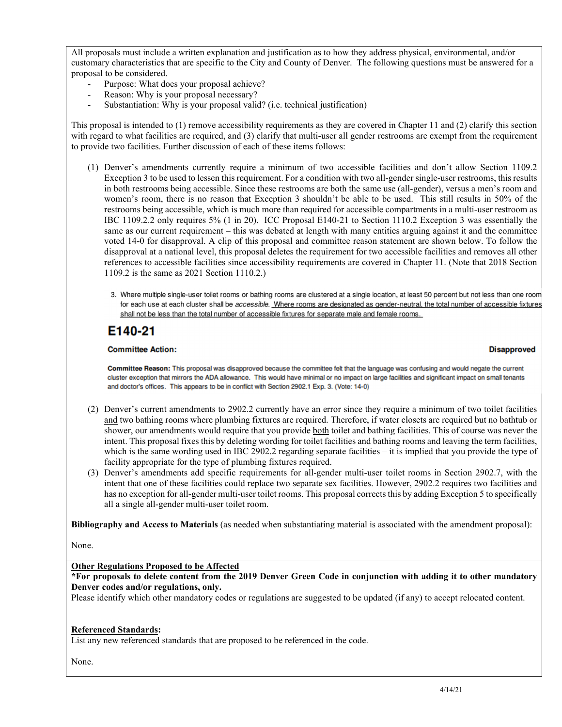All proposals must include a written explanation and justification as to how they address physical, environmental, and/or customary characteristics that are specific to the City and County of Denver. The following questions must be answered for a proposal to be considered.

- Purpose: What does your proposal achieve?
- Reason: Why is your proposal necessary?
- Substantiation: Why is your proposal valid? (i.e. technical justification)

 This proposal is intended to (1) remove accessibility requirements as they are covered in Chapter 11 and (2) clarify this section with regard to what facilities are required, and (3) clarify that multi-user all gender restrooms are exempt from the requirement to provide two facilities. Further discussion of each of these items follows:

- (1) Denver's amendments currently require a minimum of two accessible facilities and don't allow Section 1109.2 Exception 3 to be used to lessen this requirement. For a condition with two all-gender single-user restrooms, this results in both restrooms being accessible. Since these restrooms are both the same use (all-gender), versus a men's room and women's room, there is no reason that Exception 3 shouldn't be able to be used. This still results in 50% of the restrooms being accessible, which is much more than required for accessible compartments in a multi-user restroom as IBC 1109.2.2 only requires 5% (1 in 20). ICC Proposal E140-21 to Section 1110.2 Exception 3 was essentially the same as our current requirement – this was debated at length with many entities arguing against it and the committee voted 14-0 for disapproval. A clip of this proposal and committee reason statement are shown below. To follow the disapproval at a national level, this proposal deletes the requirement for two accessible facilities and removes all other references to accessible facilities since accessibility requirements are covered in Chapter 11. (Note that 2018 Section 1109.2 is the same as 2021 Section 1110.2.)
	- 3. Where multiple single-user toilet rooms or bathing rooms are clustered at a single location, at least 50 percent but not less than one room for each use at each cluster shall be accessible. Where rooms are designated as gender-neutral, the total number of accessible fixtures shall not be less than the total number of accessible fixtures for separate male and female rooms.

# E140-21

### **Committee Action:**

#### **Disapproved**

Committee Reason: This proposal was disapproved because the committee felt that the language was confusing and would negate the current cluster exception that mirrors the ADA allowance. This would have minimal or no impact on large facilities and significant impact on small tenants and doctor's offices. This appears to be in conflict with Section 2902.1 Exp. 3. (Vote: 14-0)

- (2) Denver's current amendments to 2902.2 currently have an error since they require a minimum of two toilet facilities and two bathing rooms where plumbing fixtures are required. Therefore, if water closets are required but no bathtub or shower, our amendments would require that you provide both toilet and bathing facilities. This of course was never the intent. This proposal fixes this by deleting wording for toilet facilities and bathing rooms and leaving the term facilities, which is the same wording used in IBC 2902.2 regarding separate facilities – it is implied that you provide the type of facility appropriate for the type of plumbing fixtures required.
- (3) Denver's amendments add specific requirements for all-gender multi-user toilet rooms in Section 2902.7, with the intent that one of these facilities could replace two separate sex facilities. However, 2902.2 requires two facilities and has no exception for all-gender multi-user toilet rooms. This proposal corrects this by adding Exception 5 to specifically all a single all-gender multi-user toilet room.

 **Bibliography and Access to Materials** (as needed when substantiating material is associated with the amendment proposal):

None.

## **Other Regulations Proposed to be Affected**

 **\*For proposals to delete content from the 2019 Denver Green Code in conjunction with adding it to other mandatory Denver codes and/or regulations, only.** 

Please identify which other mandatory codes or regulations are suggested to be updated (if any) to accept relocated content.

## **Referenced Standards:**

List any new referenced standards that are proposed to be referenced in the code.

None.